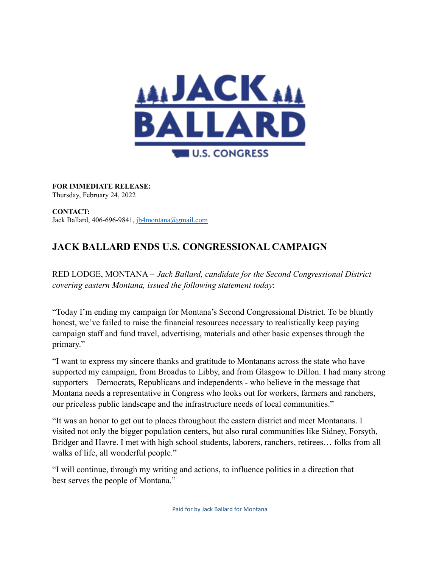

**FOR IMMEDIATE RELEASE:** Thursday, February 24, 2022

**CONTACT:** Jack Ballard, 406-696-9841, jb4montana@gmail.com

## **JACK BALLARD ENDS U.S. CONGRESSIONAL CAMPAIGN**

RED LODGE, MONTANA – *Jack Ballard, candidate for the Second Congressional District covering eastern Montana, issued the following statement today*:

"Today I'm ending my campaign for Montana's Second Congressional District. To be bluntly honest, we've failed to raise the financial resources necessary to realistically keep paying campaign staff and fund travel, advertising, materials and other basic expenses through the primary."

"I want to express my sincere thanks and gratitude to Montanans across the state who have supported my campaign, from Broadus to Libby, and from Glasgow to Dillon. I had many strong supporters – Democrats, Republicans and independents - who believe in the message that Montana needs a representative in Congress who looks out for workers, farmers and ranchers, our priceless public landscape and the infrastructure needs of local communities."

"It was an honor to get out to places throughout the eastern district and meet Montanans. I visited not only the bigger population centers, but also rural communities like Sidney, Forsyth, Bridger and Havre. I met with high school students, laborers, ranchers, retirees… folks from all walks of life, all wonderful people."

"I will continue, through my writing and actions, to influence politics in a direction that best serves the people of Montana."